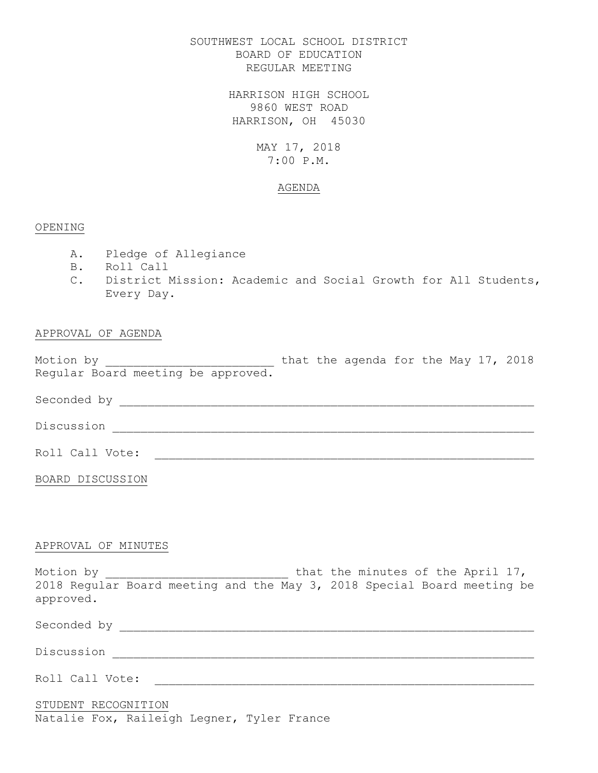## SOUTHWEST LOCAL SCHOOL DISTRICT BOARD OF EDUCATION REGULAR MEETING

HARRISON HIGH SCHOOL 9860 WEST ROAD HARRISON, OH 45030

## MAY 17, 2018 7:00 P.M.

### AGENDA

## OPENING

- A. Pledge of Allegiance
- B. Roll Call
- C. District Mission: Academic and Social Growth for All Students, Every Day.

## APPROVAL OF AGENDA

Motion by  $\hskip 1.6cm$  that the agenda for the May 17, 2018 Regular Board meeting be approved.

Seconded by \_\_\_\_\_\_\_\_\_\_\_\_\_\_\_\_\_\_\_\_\_\_\_\_\_\_\_\_\_\_\_\_\_\_\_\_\_\_\_\_\_\_\_\_\_\_\_\_\_\_\_\_\_\_\_\_\_\_\_

Discussion \_\_\_\_\_\_\_\_\_\_\_\_\_\_\_\_\_\_\_\_\_\_\_\_\_\_\_\_\_\_\_\_\_\_\_\_\_\_\_\_\_\_\_\_\_\_\_\_\_\_\_\_\_\_\_\_\_\_\_\_

Roll Call Vote: \_\_\_\_\_\_\_\_\_\_\_\_\_\_\_\_\_\_\_\_\_\_\_\_\_\_\_\_\_\_\_\_\_\_\_\_\_\_\_\_\_\_\_\_\_\_\_\_\_\_\_\_\_\_

BOARD DISCUSSION

### APPROVAL OF MINUTES

Motion by \_\_\_\_\_\_\_\_\_\_\_\_\_\_\_\_\_\_\_\_\_\_\_\_\_\_\_\_\_\_\_ that the minutes of the April 17, 2018 Regular Board meeting and the May 3, 2018 Special Board meeting be approved.

Seconded by \_\_\_\_\_\_\_\_\_\_\_\_\_\_\_\_\_\_\_\_\_\_\_\_\_\_\_\_\_\_\_\_\_\_\_\_\_\_\_\_\_\_\_\_\_\_\_\_\_\_\_\_\_\_\_\_\_\_\_

Roll Call Vote: \_\_\_\_\_\_\_\_\_\_\_\_\_\_\_\_\_\_\_\_\_\_\_\_\_\_\_\_\_\_\_\_\_\_\_\_\_\_\_\_\_\_\_\_\_\_\_\_\_\_\_\_\_\_

## STUDENT RECOGNITION Natalie Fox, Raileigh Legner, Tyler France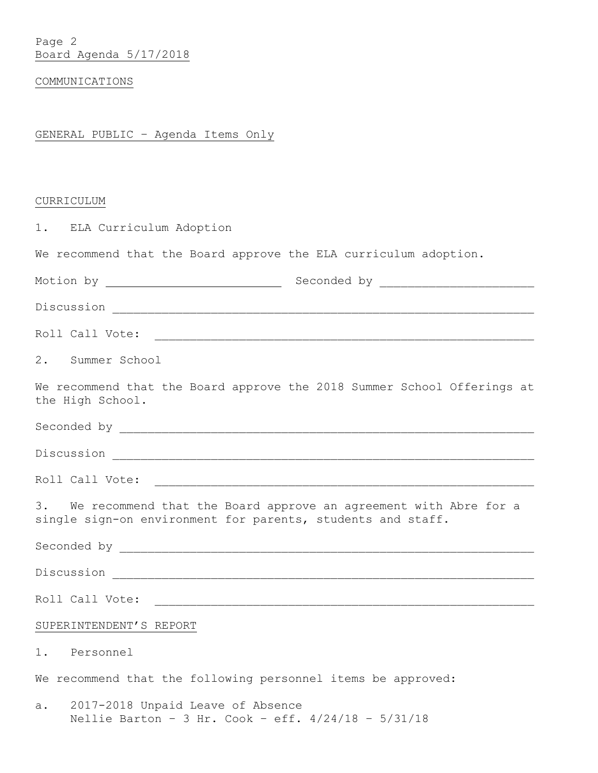# COMMUNICATIONS

# GENERAL PUBLIC – Agenda Items Only

# CURRICULUM

| 1. ELA Curriculum Adoption                                                                                                         |
|------------------------------------------------------------------------------------------------------------------------------------|
| We recommend that the Board approve the ELA curriculum adoption.                                                                   |
|                                                                                                                                    |
| Discussion <u>_______________________________</u>                                                                                  |
|                                                                                                                                    |
| 2. Summer School                                                                                                                   |
| We recommend that the Board approve the 2018 Summer School Offerings at<br>the High School.                                        |
|                                                                                                                                    |
|                                                                                                                                    |
| Roll Call Vote:                                                                                                                    |
| 3. We recommend that the Board approve an agreement with Abre for a<br>single sign-on environment for parents, students and staff. |
|                                                                                                                                    |
|                                                                                                                                    |
| Roll Call Vote: Note: Note: 2008 Page 2014                                                                                         |
| SUPERINTENDENT'S REPORT                                                                                                            |
| 1. Personnel                                                                                                                       |
| We recommend that the following personnel items be approved:                                                                       |
| 2017-2018 Unpaid Leave of Absence<br>a.<br>Nellie Barton - 3 Hr. Cook - eff. $4/24/18$ - $5/31/18$                                 |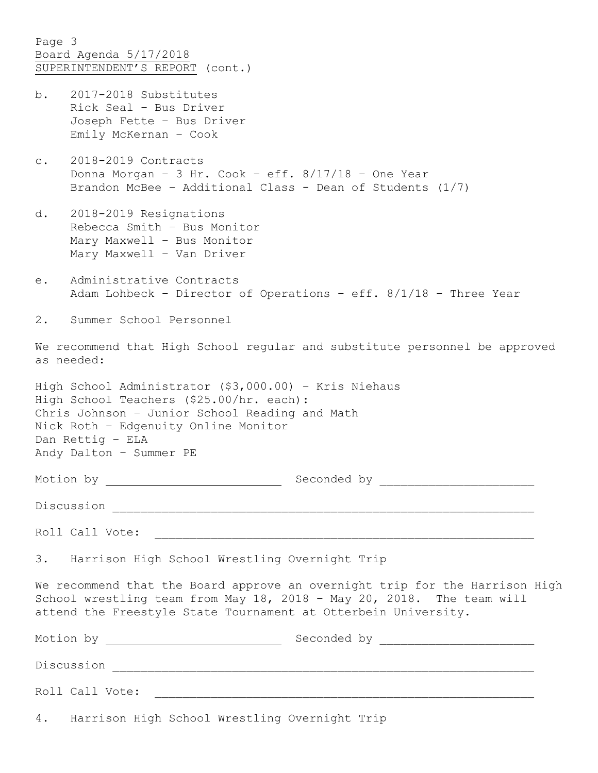Page 3 Board Agenda 5/17/2018 SUPERINTENDENT'S REPORT (cont.) b. 2017-2018 Substitutes Rick Seal – Bus Driver Joseph Fette – Bus Driver Emily McKernan – Cook c. 2018-2019 Contracts Donna Morgan – 3 Hr. Cook – eff. 8/17/18 – One Year Brandon McBee – Additional Class - Dean of Students (1/7) d. 2018-2019 Resignations Rebecca Smith – Bus Monitor Mary Maxwell – Bus Monitor Mary Maxwell – Van Driver e. Administrative Contracts Adam Lohbeck – Director of Operations – eff. 8/1/18 – Three Year 2. Summer School Personnel

We recommend that High School regular and substitute personnel be approved as needed:

High School Administrator (\$3,000.00) – Kris Niehaus High School Teachers (\$25.00/hr. each): Chris Johnson – Junior School Reading and Math Nick Roth – Edgenuity Online Monitor Dan Rettig – ELA Andy Dalton – Summer PE

Motion by Geconded by Seconded by

Discussion \_\_\_\_\_\_\_\_\_\_\_\_\_\_\_\_\_\_\_\_\_\_\_\_\_\_\_\_\_\_\_\_\_\_\_\_\_\_\_\_\_\_\_\_\_\_\_\_\_\_\_\_\_\_\_\_\_\_\_\_

Roll Call Vote:

3. Harrison High School Wrestling Overnight Trip

We recommend that the Board approve an overnight trip for the Harrison High School wrestling team from May 18, 2018 – May 20, 2018. The team will attend the Freestyle State Tournament at Otterbein University.

| Motion by                                        | Seconded by |  |
|--------------------------------------------------|-------------|--|
| Discussion                                       |             |  |
| Roll Call Vote:                                  |             |  |
| 4. Harrison High School Wrestling Overnight Trip |             |  |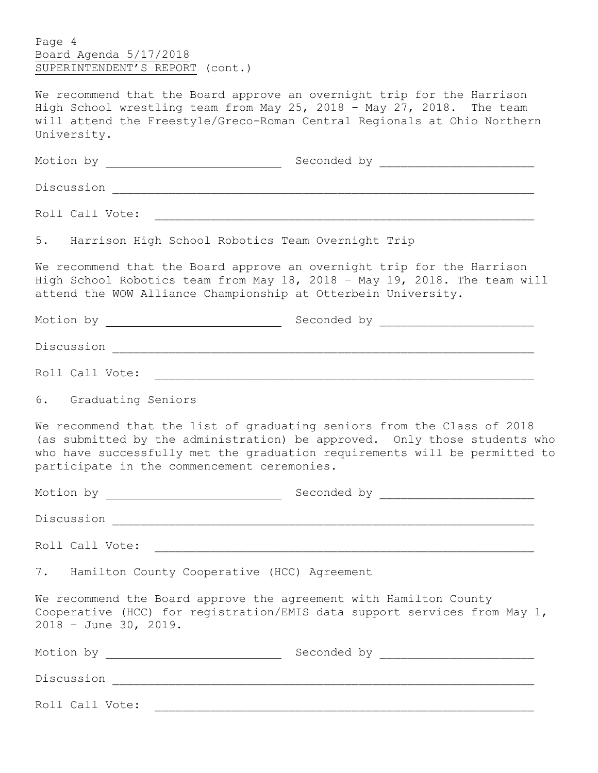Page 4 Board Agenda 5/17/2018 SUPERINTENDENT'S REPORT (cont.)

We recommend that the Board approve an overnight trip for the Harrison High School wrestling team from May 25, 2018 - May 27, 2018. The team will attend the Freestyle/Greco-Roman Central Regionals at Ohio Northern University.

| 5. Harrison High School Robotics Team Overnight Trip |                                                                                                                                                                                                                                    |
|------------------------------------------------------|------------------------------------------------------------------------------------------------------------------------------------------------------------------------------------------------------------------------------------|
|                                                      | We recommend that the Board approve an overnight trip for the Harrison<br>High School Robotics team from May 18, 2018 - May 19, 2018. The team will<br>attend the WOW Alliance Championship at Otterbein University.               |
|                                                      |                                                                                                                                                                                                                                    |
|                                                      |                                                                                                                                                                                                                                    |
|                                                      |                                                                                                                                                                                                                                    |
| 6. Graduating Seniors                                |                                                                                                                                                                                                                                    |
| participate in the commencement ceremonies.          | We recommend that the list of graduating seniors from the Class of 2018<br>(as submitted by the administration) be approved. Only those students who<br>who have successfully met the graduation requirements will be permitted to |
|                                                      |                                                                                                                                                                                                                                    |
|                                                      |                                                                                                                                                                                                                                    |
|                                                      |                                                                                                                                                                                                                                    |
| 7. Hamilton County Cooperative (HCC) Agreement       |                                                                                                                                                                                                                                    |
| 2018 - June 30, 2019.                                | We recommend the Board approve the agreement with Hamilton County<br>Cooperative (HCC) for registration/EMIS data support services from May 1,                                                                                     |
|                                                      |                                                                                                                                                                                                                                    |
|                                                      |                                                                                                                                                                                                                                    |
| Roll Call Vote:                                      |                                                                                                                                                                                                                                    |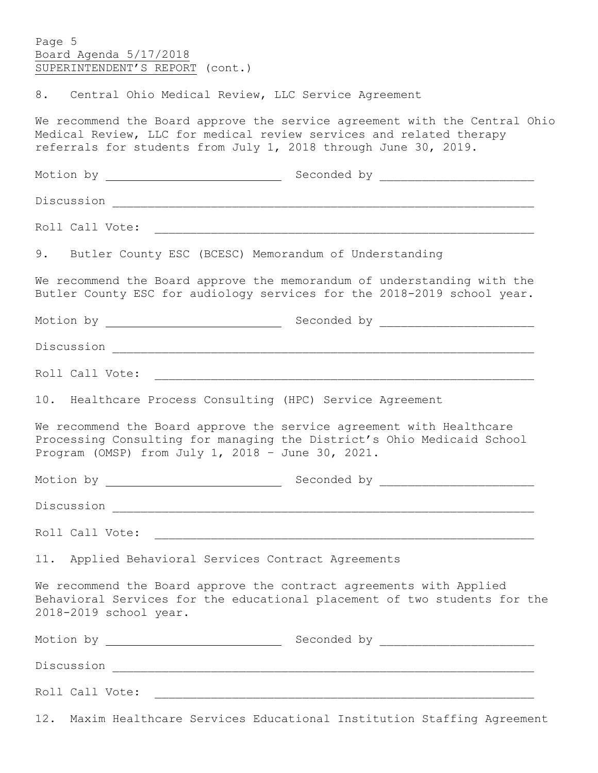| Page 5<br>Board Agenda 5/17/2018<br>SUPERINTENDENT'S REPORT (cont.)                                                                                                                                                            |  |  |  |  |  |
|--------------------------------------------------------------------------------------------------------------------------------------------------------------------------------------------------------------------------------|--|--|--|--|--|
| 8. Central Ohio Medical Review, LLC Service Agreement                                                                                                                                                                          |  |  |  |  |  |
| We recommend the Board approve the service agreement with the Central Ohio<br>Medical Review, LLC for medical review services and related therapy<br>referrals for students from July 1, 2018 through June 30, 2019.           |  |  |  |  |  |
|                                                                                                                                                                                                                                |  |  |  |  |  |
|                                                                                                                                                                                                                                |  |  |  |  |  |
|                                                                                                                                                                                                                                |  |  |  |  |  |
| 9. Butler County ESC (BCESC) Memorandum of Understanding                                                                                                                                                                       |  |  |  |  |  |
| We recommend the Board approve the memorandum of understanding with the<br>Butler County ESC for audiology services for the 2018-2019 school year.                                                                             |  |  |  |  |  |
|                                                                                                                                                                                                                                |  |  |  |  |  |
|                                                                                                                                                                                                                                |  |  |  |  |  |
| Roll Call Vote: The Contract of the Contract of the Contract of the Contract of the Contract of the Contract of the Contract of the Contract of the Contract of the Contract of the Contract of the Contract of the Contract o |  |  |  |  |  |
| 10. Healthcare Process Consulting (HPC) Service Agreement                                                                                                                                                                      |  |  |  |  |  |
| We recommend the Board approve the service agreement with Healthcare<br>Processing Consulting for managing the District's Ohio Medicaid School<br>Program (OMSP) from July 1, 2018 - June 30, 2021.                            |  |  |  |  |  |
|                                                                                                                                                                                                                                |  |  |  |  |  |
|                                                                                                                                                                                                                                |  |  |  |  |  |
|                                                                                                                                                                                                                                |  |  |  |  |  |
| 11. Applied Behavioral Services Contract Agreements                                                                                                                                                                            |  |  |  |  |  |
| We recommend the Board approve the contract agreements with Applied<br>Behavioral Services for the educational placement of two students for the<br>2018-2019 school year.                                                     |  |  |  |  |  |
|                                                                                                                                                                                                                                |  |  |  |  |  |
|                                                                                                                                                                                                                                |  |  |  |  |  |
|                                                                                                                                                                                                                                |  |  |  |  |  |
| 12. Maxim Healthcare Services Educational Institution Staffing Agreement                                                                                                                                                       |  |  |  |  |  |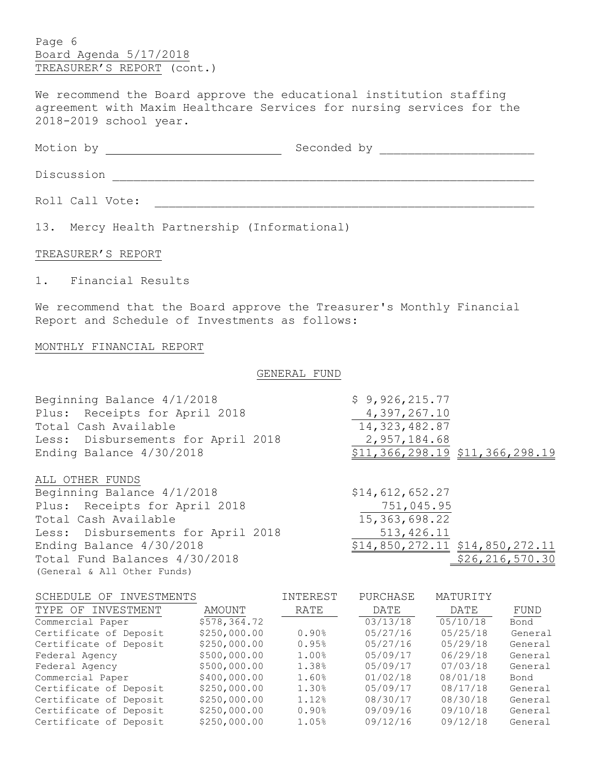Page 6 Board Agenda 5/17/2018 TREASURER'S REPORT (cont.)

We recommend the Board approve the educational institution staffing agreement with Maxim Healthcare Services for nursing services for the 2018-2019 school year.

Motion by Seconded by \_\_\_\_\_\_\_\_\_\_\_\_\_\_\_\_\_\_\_\_\_\_

Discussion \_\_\_\_\_\_\_\_\_\_\_\_\_\_\_\_\_\_\_\_\_\_\_\_\_\_\_\_\_\_\_\_\_\_\_\_\_\_\_\_\_\_\_\_\_\_\_\_\_\_\_\_\_\_\_\_\_\_\_\_

Roll Call Vote: \_\_\_\_\_\_\_\_\_\_\_\_\_\_\_\_\_\_\_\_\_\_\_\_\_\_\_\_\_\_\_\_\_\_\_\_\_\_\_\_\_\_\_\_\_\_\_\_\_\_\_\_\_\_

13. Mercy Health Partnership (Informational)

#### TREASURER'S REPORT

1. Financial Results

We recommend that the Board approve the Treasurer's Monthly Financial Report and Schedule of Investments as follows:

#### MONTHLY FINANCIAL REPORT

#### GENERAL FUND

| Beginning Balance 4/1/2018         | \$9,926,215.77                      |
|------------------------------------|-------------------------------------|
| Plus: Receipts for April 2018      | 4,397,267.10                        |
| Total Cash Available               | 14, 323, 482.87                     |
| Less: Disbursements for April 2018 | 2,957,184.68                        |
| Ending Balance 4/30/2018           | \$11, 366, 298.19 \$11, 366, 298.19 |
| ALL OTHER FUNDS                    |                                     |
| Beginning Balance 4/1/2018         | \$14,612,652.27                     |
| Plus: Receipts for April 2018      | 751,045.95                          |
| Total Cash Available               | 15, 363, 698.22                     |
| Less: Disbursements for April 2018 | 513, 426.11                         |
| Ending Balance 4/30/2018           | \$14,850,272.11 \$14,850,272.11     |
| Total Fund Balances 4/30/2018      | \$26, 216, 570.30                   |
| (General & All Other Funds)        |                                     |

| SCHEDULE OF INVESTMENTS |              | INTEREST | PURCHASE | MATURITY |         |
|-------------------------|--------------|----------|----------|----------|---------|
| INVESTMENT<br>TYPE OF   | AMOUNT       | RATE     | DATE     | DATE     | FUND    |
| Commercial Paper        | \$578,364.72 |          | 03/13/18 | 05/10/18 | Bond    |
| Certificate of Deposit  | \$250,000.00 | 0.90%    | 05/27/16 | 05/25/18 | General |
| Certificate of Deposit  | \$250,000.00 | 0.95%    | 05/27/16 | 05/29/18 | General |
| Federal Agency          | \$500,000.00 | 1.00%    | 05/09/17 | 06/29/18 | General |
| Federal Agency          | \$500,000.00 | 1.38%    | 05/09/17 | 07/03/18 | General |
| Commercial Paper        | \$400,000.00 | 1.60%    | 01/02/18 | 08/01/18 | Bond    |
| Certificate of Deposit  | \$250,000.00 | 1.30%    | 05/09/17 | 08/17/18 | General |
| Certificate of Deposit  | \$250,000.00 | 1.12%    | 08/30/17 | 08/30/18 | General |
| Certificate of Deposit  | \$250,000.00 | 0.90%    | 09/09/16 | 09/10/18 | General |
| Certificate of Deposit  | \$250,000.00 | 1.05%    | 09/12/16 | 09/12/18 | General |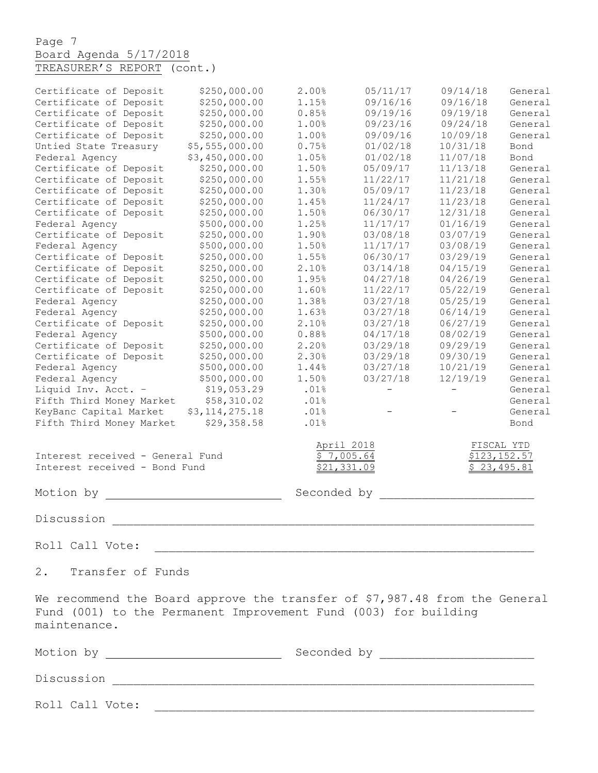Page 7 Board Agenda 5/17/2018 TREASURER'S REPORT (cont.)

| Certificate of Deposit           | \$250,000.00   | 2.00%       | 05/11/17                 | 09/14/18 | General      |
|----------------------------------|----------------|-------------|--------------------------|----------|--------------|
| Certificate of Deposit           | \$250,000.00   | 1.15%       | 09/16/16                 | 09/16/18 | General      |
| Certificate of Deposit           | \$250,000.00   | 0.85%       | 09/19/16                 | 09/19/18 | General      |
| Certificate of Deposit           | \$250,000.00   | 1.00%       | 09/23/16                 | 09/24/18 | General      |
| Certificate of Deposit           | \$250,000.00   | 1.00%       | 09/09/16                 | 10/09/18 | General      |
| Untied State Treasury            | \$5,555,000.00 | 0.75%       | 01/02/18                 | 10/31/18 | Bond         |
| Federal Agency                   | \$3,450,000.00 | 1.05%       | 01/02/18                 | 11/07/18 | Bond         |
| Certificate of Deposit           | \$250,000.00   | 1.50%       | 05/09/17                 | 11/13/18 | General      |
| Certificate of Deposit           | \$250,000.00   | 1.55%       | 11/22/17                 | 11/21/18 | General      |
| Certificate of Deposit           | \$250,000.00   | 1.30%       | 05/09/17                 | 11/23/18 | General      |
| Certificate of Deposit           | \$250,000.00   | 1.45%       | 11/24/17                 | 11/23/18 | General      |
| Certificate of Deposit           | \$250,000.00   | 1.50%       | 06/30/17                 | 12/31/18 | General      |
| Federal Agency                   | \$500,000.00   | 1.25%       | 11/17/17                 | 01/16/19 | General      |
| Certificate of Deposit           | \$250,000.00   | 1.90%       | 03/08/18                 | 03/07/19 | General      |
| Federal Agency                   | \$500,000.00   | 1.50%       | 11/17/17                 | 03/08/19 | General      |
| Certificate of Deposit           | \$250,000.00   | 1.55%       | 06/30/17                 | 03/29/19 | General      |
| Certificate of Deposit           | \$250,000.00   | 2.10%       | 03/14/18                 | 04/15/19 | General      |
| Certificate of Deposit           | \$250,000.00   | 1.95%       | 04/27/18                 | 04/26/19 | General      |
| Certificate of Deposit           | \$250,000.00   | 1.60%       | 11/22/17                 | 05/22/19 | General      |
| Federal Agency                   | \$250,000.00   | 1.38%       | 03/27/18                 | 05/25/19 | General      |
| Federal Agency                   | \$250,000.00   | 1.63%       | 03/27/18                 | 06/14/19 | General      |
| Certificate of Deposit           | \$250,000.00   | 2.10%       | 03/27/18                 | 06/27/19 | General      |
| Federal Agency                   | \$500,000.00   | 0.88%       | 04/17/18                 | 08/02/19 | General      |
| Certificate of Deposit           | \$250,000.00   | 2.20%       | 03/29/18                 | 09/29/19 | General      |
| Certificate of Deposit           | \$250,000.00   | 2.30%       | 03/29/18                 | 09/30/19 | General      |
| Federal Agency                   | \$500,000.00   | 1.44%       | 03/27/18                 | 10/21/19 | General      |
| Federal Agency                   | \$500,000.00   | 1.50%       | 03/27/18                 | 12/19/19 | General      |
| Liquid Inv. Acct. -              | \$19,053.29    | .01%        | $\overline{\phantom{0}}$ | $-$      | General      |
| Fifth Third Money Market         | \$58,310.02    | .01%        |                          |          | General      |
| KeyBanc Capital Market           | \$3,114,275.18 | .01%        |                          |          | General      |
| Fifth Third Money Market         | \$29,358.58    | .01%        |                          |          | Bond         |
|                                  |                |             |                          |          |              |
|                                  |                |             | April 2018               |          | FISCAL YTD   |
| Interest received - General Fund |                |             | \$7,005.64               |          | \$123,152.57 |
| Interest received - Bond Fund    |                |             | \$21,331.09              |          | \$23,495.81  |
|                                  |                |             |                          |          |              |
| Motion by                        |                | Seconded by |                          |          |              |
|                                  |                |             |                          |          |              |
| Discussion                       |                |             |                          |          |              |
|                                  |                |             |                          |          |              |
| Roll Call Vote:                  |                |             |                          |          |              |
|                                  |                |             |                          |          |              |
| $2$ .<br>Transfer of Funds       |                |             |                          |          |              |
|                                  |                |             |                          |          |              |

We recommend the Board approve the transfer of \$7,987.48 from the General Fund (001) to the Permanent Improvement Fund (003) for building maintenance.

| Motion by       | Seconded by |  |  |  |  |
|-----------------|-------------|--|--|--|--|
| Discussion      |             |  |  |  |  |
| Roll Call Vote: |             |  |  |  |  |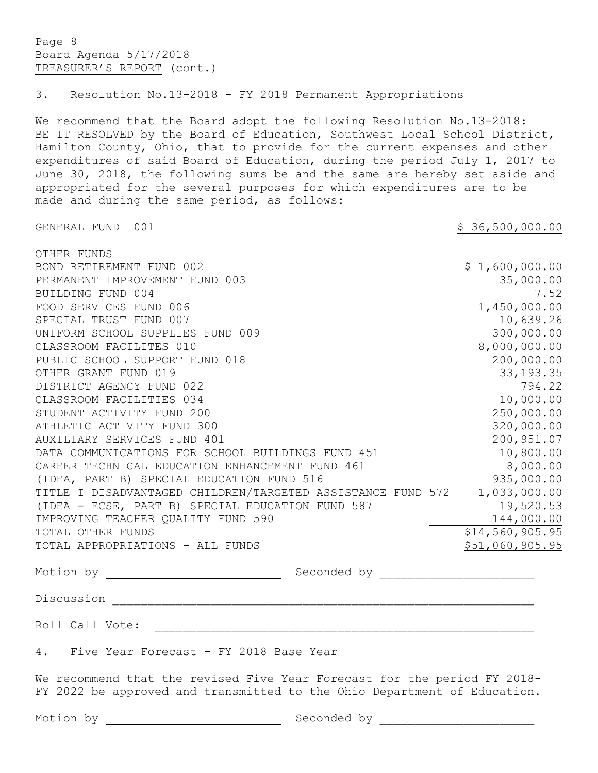Page 8 Board Agenda 5/17/2018 TREASURER'S REPORT (cont.) 3. Resolution No.13-2018 - FY 2018 Permanent Appropriations We recommend that the Board adopt the following Resolution No.13-2018: BE IT RESOLVED by the Board of Education, Southwest Local School District, Hamilton County, Ohio, that to provide for the current expenses and other expenditures of said Board of Education, during the period July 1, 2017 to June 30, 2018, the following sums be and the same are hereby set aside and appropriated for the several purposes for which expenditures are to be made and during the same period, as follows: GENERAL FUND 001 36,500,000.00 OTHER FUNDS BOND RETIREMENT FUND 002 3 1,600,000.00 PERMANENT IMPROVEMENT FUND 003 35,000.00 BUILDING FUND 004 7.52 FOOD SERVICES FUND 006 1,450,000.00 SPECIAL TRUST FUND 007 2000 10,639.26 UNIFORM SCHOOL SUPPLIES FUND 009 300,000.00 CLASSROOM FACILITES 010 8,000,000.00 PUBLIC SCHOOL SUPPORT FUND 018 200,000.00 OTHER GRANT FUND 019 33,193.35 DISTRICT AGENCY FUND 022 794.22 CLASSROOM FACILITIES 034 10,000.00 STUDENT ACTIVITY FUND 200 250,000.00 ATHLETIC ACTIVITY FUND 300 320,000.00 320,000.00 AUXILIARY SERVICES FUND 401 200,951.07 DATA COMMUNICATIONS FOR SCHOOL BUILDINGS FUND 451 10,800.00 CAREER TECHNICAL EDUCATION ENHANCEMENT FUND 461 8,000.00 (IDEA, PART B) SPECIAL EDUCATION FUND 516 935,000.00 TITLE I DISADVANTAGED CHILDREN/TARGETED ASSISTANCE FUND 572 1,033,000.00 (IDEA - ECSE, PART B) SPECIAL EDUCATION FUND 587 19,520.53<br>IMPROVING TEACHER QUALITY FUND 590 IMPROVING TEACHER QUALITY FUND 590 TOTAL OTHER FUNDS **\$14,560,905.95** TOTAL APPROPRIATIONS - ALL FUNDS  $\sim$  851,060,905.95 Motion by Seconded by \_\_\_\_\_\_\_\_\_\_\_\_\_\_\_\_\_\_\_\_\_\_ Discussion \_\_\_\_\_\_\_\_\_\_\_\_\_\_\_\_\_\_\_\_\_\_\_\_\_\_\_\_\_\_\_\_\_\_\_\_\_\_\_\_\_\_\_\_\_\_\_\_\_\_\_\_\_\_\_\_\_\_\_\_ Roll Call Vote: 4. Five Year Forecast – FY 2018 Base Year We recommend that the revised Five Year Forecast for the period FY 2018- FY 2022 be approved and transmitted to the Ohio Department of Education. Motion by Seconded by \_\_\_\_\_\_\_\_\_\_\_\_\_\_\_\_\_\_\_\_\_\_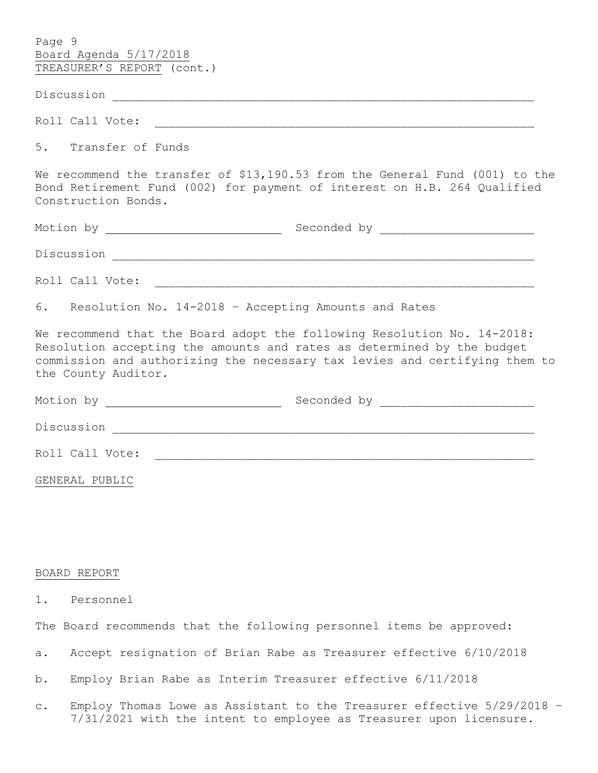| Page 9                                                                                                                                                                                                                                                 |
|--------------------------------------------------------------------------------------------------------------------------------------------------------------------------------------------------------------------------------------------------------|
| Board Agenda 5/17/2018                                                                                                                                                                                                                                 |
| TREASURER'S REPORT (cont.)                                                                                                                                                                                                                             |
|                                                                                                                                                                                                                                                        |
|                                                                                                                                                                                                                                                        |
| 5. Transfer of Funds                                                                                                                                                                                                                                   |
| We recommend the transfer of \$13,190.53 from the General Fund (001) to the<br>Bond Retirement Fund (002) for payment of interest on H.B. 264 Qualified<br>Construction Bonds.                                                                         |
|                                                                                                                                                                                                                                                        |
|                                                                                                                                                                                                                                                        |
|                                                                                                                                                                                                                                                        |
| 6. Resolution No. 14-2018 - Accepting Amounts and Rates                                                                                                                                                                                                |
| We recommend that the Board adopt the following Resolution No. 14-2018:<br>Resolution accepting the amounts and rates as determined by the budget<br>commission and authorizing the necessary tax levies and certifying them to<br>the County Auditor. |
|                                                                                                                                                                                                                                                        |
|                                                                                                                                                                                                                                                        |
|                                                                                                                                                                                                                                                        |
| GENERAL PUBLIC                                                                                                                                                                                                                                         |
|                                                                                                                                                                                                                                                        |
|                                                                                                                                                                                                                                                        |
|                                                                                                                                                                                                                                                        |
| BOARD REPORT                                                                                                                                                                                                                                           |
| Personnel<br>1.                                                                                                                                                                                                                                        |
| The Board recommends that the following personnel items be approved:                                                                                                                                                                                   |
| Accept resignation of Brian Rabe as Treasurer effective 6/10/2018<br>a.                                                                                                                                                                                |
|                                                                                                                                                                                                                                                        |

c. Employ Thomas Lowe as Assistant to the Treasurer effective 5/29/2018 – 7/31/2021 with the intent to employee as Treasurer upon licensure.